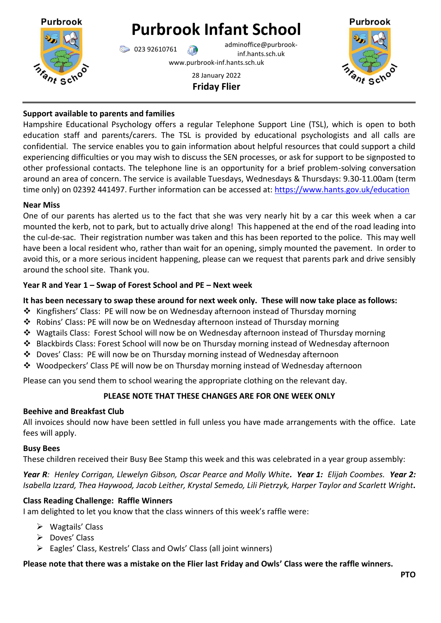

# **Purbrook Infant School**

 $\bigotimes$  023 92610761 adminoffice@purbrookinf.hants.sch.uk

www.purbrook-inf.hants.sch.uk

28 January 2022 **Friday Flier**



## **Support available to parents and families**

Hampshire Educational Psychology offers a regular Telephone Support Line (TSL), which is open to both education staff and parents/carers. The TSL is provided by educational psychologists and all calls are confidential. The service enables you to gain information about helpful resources that could support a child experiencing difficulties or you may wish to discuss the SEN processes, or ask for support to be signposted to other professional contacts. The telephone line is an opportunity for a brief problem-solving conversation around an area of concern. The service is available Tuesdays, Wednesdays & Thursdays: 9.30-11.00am (term time only) on 02392 441497. Further information can be accessed at: <https://www.hants.gov.uk/education>

#### **Near Miss**

One of our parents has alerted us to the fact that she was very nearly hit by a car this week when a car mounted the kerb, not to park, but to actually drive along! This happened at the end of the road leading into the cul-de-sac. Their registration number was taken and this has been reported to the police. This may well have been a local resident who, rather than wait for an opening, simply mounted the pavement. In order to avoid this, or a more serious incident happening, please can we request that parents park and drive sensibly around the school site. Thank you.

## **Year R and Year 1 – Swap of Forest School and PE – Next week**

## **It has been necessary to swap these around for next week only. These will now take place as follows:**

- $\cdot$  Kingfishers' Class: PE will now be on Wednesday afternoon instead of Thursday morning
- Robins' Class: PE will now be on Wednesday afternoon instead of Thursday morning
- Wagtails Class: Forest School will now be on Wednesday afternoon instead of Thursday morning
- Blackbirds Class: Forest School will now be on Thursday morning instead of Wednesday afternoon
- Doves' Class: PE will now be on Thursday morning instead of Wednesday afternoon
- Woodpeckers' Class PE will now be on Thursday morning instead of Wednesday afternoon

Please can you send them to school wearing the appropriate clothing on the relevant day.

# **PLEASE NOTE THAT THESE CHANGES ARE FOR ONE WEEK ONLY**

## **Beehive and Breakfast Club**

All invoices should now have been settled in full unless you have made arrangements with the office. Late fees will apply.

## **Busy Bees**

These children received their Busy Bee Stamp this week and this was celebrated in a year group assembly:

*Year R: Henley Corrigan, Llewelyn Gibson, Oscar Pearce and Molly White. Year 1: Elijah Coombes. Year 2: Isabella Izzard, Thea Haywood, Jacob Leither, Krystal Semedo, Lili Pietrzyk, Harper Taylor and Scarlett Wright.* 

## **Class Reading Challenge: Raffle Winners**

I am delighted to let you know that the class winners of this week's raffle were:

- $\triangleright$  Wagtails' Class
- Doves' Class
- Eagles' Class, Kestrels' Class and Owls' Class (all joint winners)

## **Please note that there was a mistake on the Flier last Friday and Owls' Class were the raffle winners.**